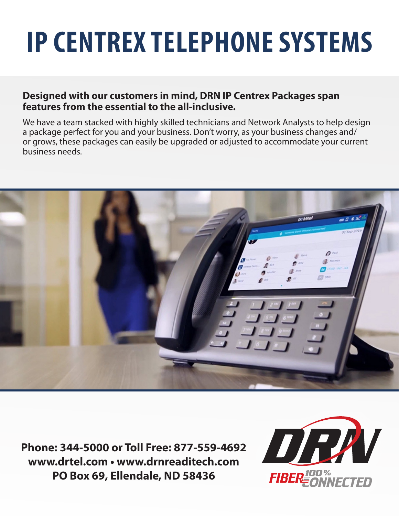# **IP CENTREX TELEPHONE SYSTEMS**

### **Designed with our customers in mind, DRN IP Centrex Packages span features from the essential to the all-inclusive.**

We have a team stacked with highly skilled technicians and Network Analysts to help design a package perfect for you and your business. Don't worry, as your business changes and/ or grows, these packages can easily be upgraded or adjusted to accommodate your current business needs.



**Phone: 344-5000 or Toll Free: 877-559-4692 www.drtel.com • www.drnreaditech.com PO Box 69, Ellendale, ND 58436**

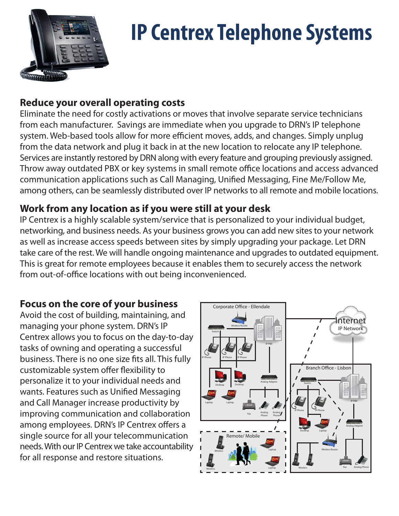

# **IP Centrex Telephone Systems**

## **Reduce your overall operating costs**

Eliminate the need for costly activations or moves that involve separate service technicians from each manufacturer. Savings are immediate when you upgrade to DRN's IP telephone system. Web-based tools allow for more efficient moves, adds, and changes. Simply unplug from the data network and plug it back in at the new location to relocate any IP telephone. Services are instantly restored by DRN along with every feature and grouping previously assigned. Throw away outdated PBX or key systems in small remote office locations and access advanced communication applications such as Call Managing, Unified Messaging, Fine Me/Follow Me, among others, can be seamlessly distributed over IP networks to all remote and mobile locations.

### **Work from any location as if you were still at your desk**

IP Centrex is a highly scalable system/service that is personalized to your individual budget, networking, and business needs. As your business grows you can add new sites to your network as well as increase access speeds between sites by simply upgrading your package. Let DRN take care of the rest. We will handle ongoing maintenance and upgrades to outdated equipment. This is great for remote employees because it enables them to securely access the network from out-of-office locations with out being inconvenienced.

### **Focus on the core of your business**

Avoid the cost of building, maintaining, and managing your phone system. DRN's IP Centrex allows you to focus on the day-to-day tasks of owning and operating a successful business. There is no one size fits all. This fully customizable system offer flexibility to personalize it to your individual needs and wants. Features such as Unified Messaging and Call Manager increase productivity by improving communication and collaboration among employees. DRN's IP Centrex offers a single source for all your telecommunication needs. With our IP Centrex we take accountability for all response and restore situations.

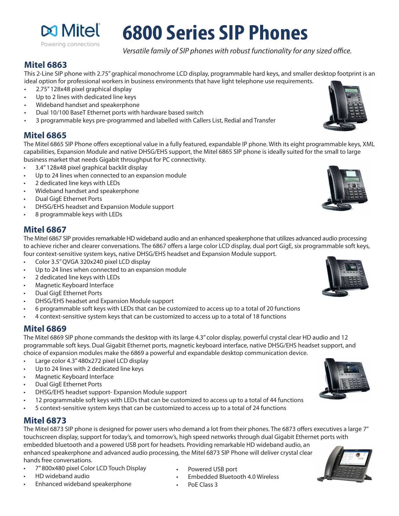

# **6800 Series SIP Phones**

*Versatile family of SIP phones with robust functionality for any sized office.*

#### **Mitel 6863**

This 2-Line SIP phone with 2.75" graphical monochrome LCD display, programmable hard keys, and smaller desktop footprint is an ideal option for professional workers in business environments that have light telephone use requirements.

- 2.75" 128x48 pixel graphical display
- Up to 2 lines with dedicated line keys
- Wideband handset and speakerphone
- Dual 10/100 BaseT Ethernet ports with hardware based switch
- 3 programmable keys pre-programmed and labelled with Callers List, Redial and Transfer

#### **Mitel 6865**

The Mitel 6865 SIP Phone offers exceptional value in a fully featured, expandable IP phone. With its eight programmable keys, XML capabilities, Expansion Module and native DHSG/EHS support, the Mitel 6865 SIP phone is ideally suited for the small to large business market that needs Gigabit throughput for PC connectivity.

- 3.4" 128x48 pixel graphical backlit display
- Up to 24 lines when connected to an expansion module
- 2 dedicated line keys with LEDs
- Wideband handset and speakerphone
- Dual GigE Ethernet Ports
- DHSG/EHS headset and Expansion Module support
- 8 programmable keys with LEDs

#### **Mitel 6867**

The Mitel 6867 SIP provides remarkable HD wideband audio and an enhanced speakerphone that utilizes advanced audio processing to achieve richer and clearer conversations. The 6867 offers a large color LCD display, dual port GigE, six programmable soft keys, four context-sensitive system keys, native DHSG/EHS headset and Expansion Module support.

- Color 3.5" QVGA 320x240 pixel LCD display
- Up to 24 lines when connected to an expansion module
- 2 dedicated line keys with LEDs
- Magnetic Keyboard Interface
- Dual GigE Ethernet Ports
- DHSG/EHS headset and Expansion Module support
- 6 programmable soft keys with LEDs that can be customized to access up to a total of 20 functions
- 4 context-sensitive system keys that can be customized to access up to a total of 18 functions

#### **Mitel 6869**

The Mitel 6869 SIP phone commands the desktop with its large 4.3" color display, powerful crystal clear HD audio and 12 programmable soft keys. Dual Gigabit Ethernet ports, magnetic keyboard interface, native DHSG/EHS headset support, and choice of expansion modules make the 6869 a powerful and expandable desktop communication device.

- Large color 4.3" 480x272 pixel LCD display
- Up to 24 lines with 2 dedicated line keys
- Magnetic Keyboard Interface
- Dual GigE Ethernet Ports
- DHSG/EHS headset support- Expansion Module support
- 12 programmable soft keys with LEDs that can be customized to access up to a total of 44 functions
- 5 context-sensitive system keys that can be customized to access up to a total of 24 functions

#### **Mitel 6873**

The Mitel 6873 SIP phone is designed for power users who demand a lot from their phones. The 6873 offers executives a large 7" touchscreen display, support for today's, and tomorrow's, high speed networks through dual Gigabit Ethernet ports with embedded bluetooth and a powered USB port for headsets. Providing remarkable HD wideband audio, an enhanced speakerphone and advanced audio processing, the Mitel 6873 SIP Phone will deliver crystal clear hands free conversations.

- 7" 800x480 pixel Color LCD Touch Display
- HD wideband audio
- Enhanced wideband speakerphone
- Powered USB port
- Embedded Bluetooth 4.0 Wireless
- PoE Class 3